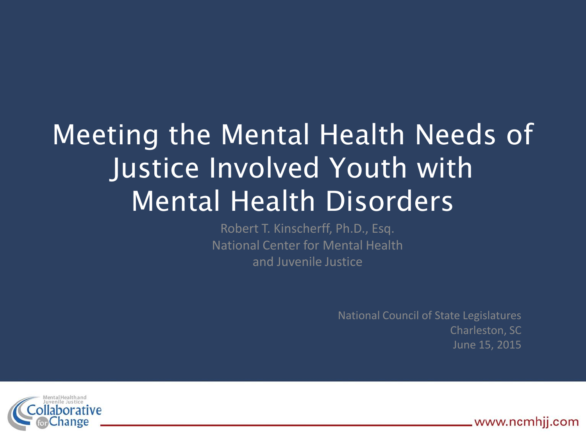# Meeting the Mental Health Needs of Justice Involved Youth with Mental Health Disorders

Robert T. Kinscherff, Ph.D., Esq. National Center for Mental Health and Juvenile Justice

> National Council of State Legislatures Charleston, SC June 15, 2015



www.ncmhij.com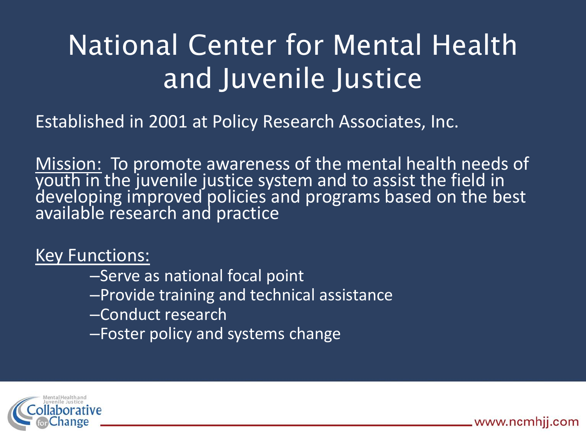# National Center for Mental Health and Juvenile Justice

Established in 2001 at Policy Research Associates, Inc.

Mission: To promote awareness of the mental health needs of youth in the juvenile justice system and to assist the field in developing improved policies and programs based on the best available research and practice

#### Key Functions:

- –Serve as national focal point
- –Provide training and technical assistance
- –Conduct research
- –Foster policy and systems change



www.ncmhij.com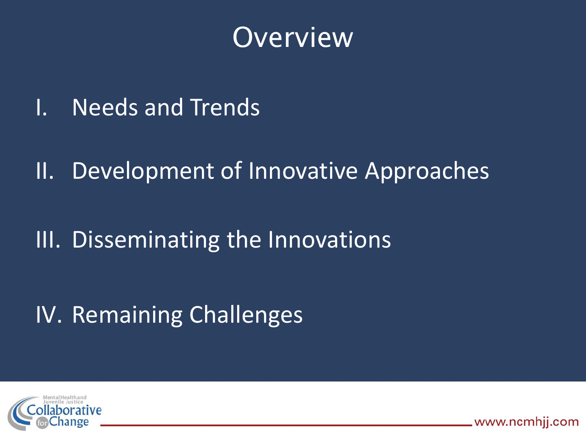

- I. Needs and Trends
- II. Development of Innovative Approaches
- III. Disseminating the Innovations

IV. Remaining Challenges



www.ncmhjj.com.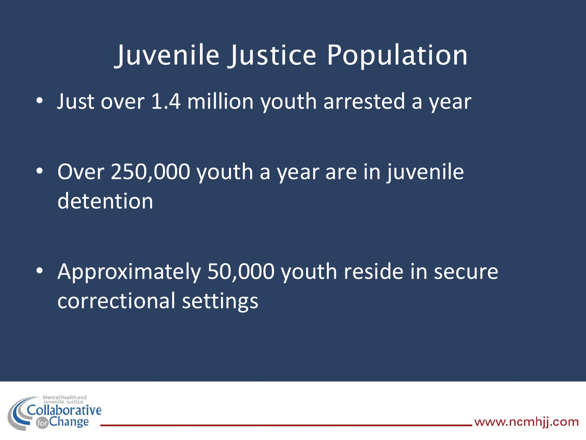### Juvenile Justice Population

• Just over 1.4 million youth arrested a year

• Over 250,000 youth a year are in juvenile detention

• Approximately 50,000 youth reside in secure correctional settings

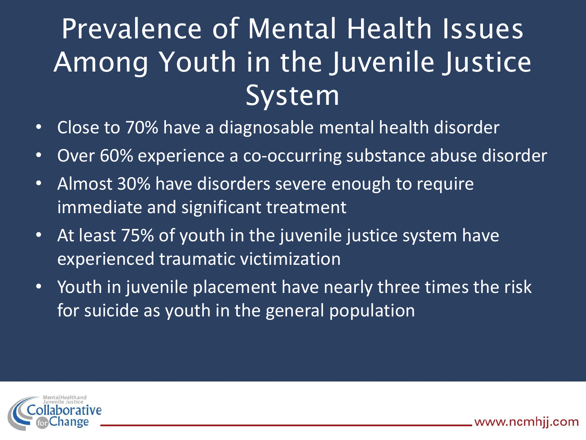# Prevalence of Mental Health Issues Among Youth in the Juvenile Justice System

- Close to 70% have a diagnosable mental health disorder
- Over 60% experience a co-occurring substance abuse disorder
- Almost 30% have disorders severe enough to require immediate and significant treatment
- At least 75% of youth in the juvenile justice system have experienced traumatic victimization
- Youth in juvenile placement have nearly three times the risk for suicide as youth in the general population

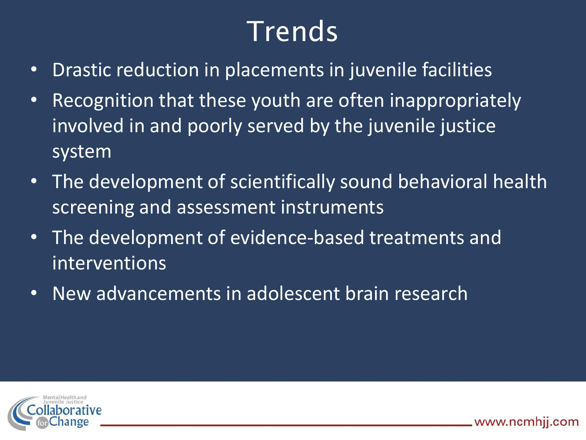# Trends

- Drastic reduction in placements in juvenile facilities
- Recognition that these youth are often inappropriately involved in and poorly served by the juvenile justice system
- The development of scientifically sound behavioral health screening and assessment instruments
- The development of evidence-based treatments and interventions
- New advancements in adolescent brain research

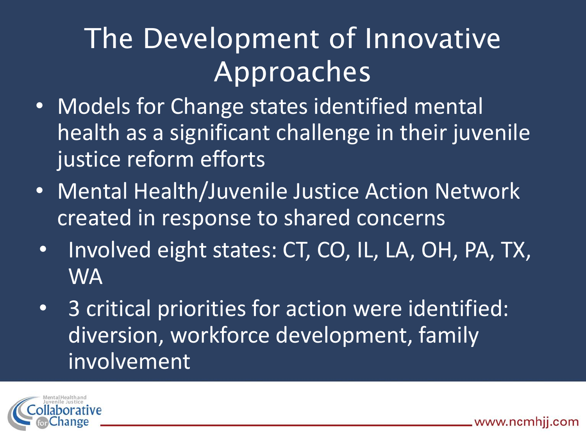# The Development of Innovative Approaches

- Models for Change states identified mental health as a significant challenge in their juvenile justice reform efforts
- Mental Health/Juvenile Justice Action Network created in response to shared concerns
- Involved eight states: CT, CO, IL, LA, OH, PA, TX, WA
- 3 critical priorities for action were identified: diversion, workforce development, family involvement

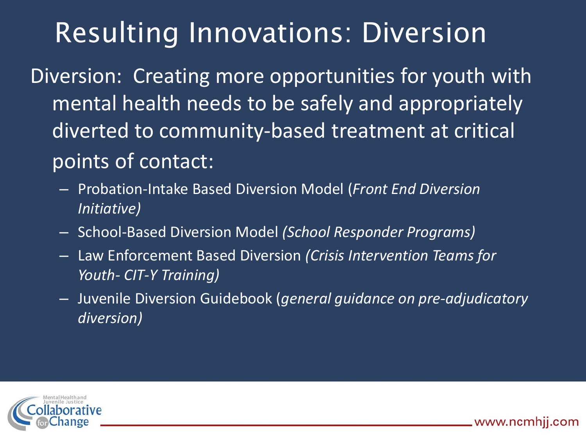### Resulting Innovations: Diversion

Diversion: Creating more opportunities for youth with mental health needs to be safely and appropriately diverted to community-based treatment at critical points of contact:

- Probation-Intake Based Diversion Model (*Front End Diversion Initiative)*
- School-Based Diversion Model *(School Responder Programs)*
- Law Enforcement Based Diversion *(Crisis Intervention Teams for Youth- CIT-Y Training)*
- Juvenile Diversion Guidebook (*general guidance on pre-adjudicatory diversion)*

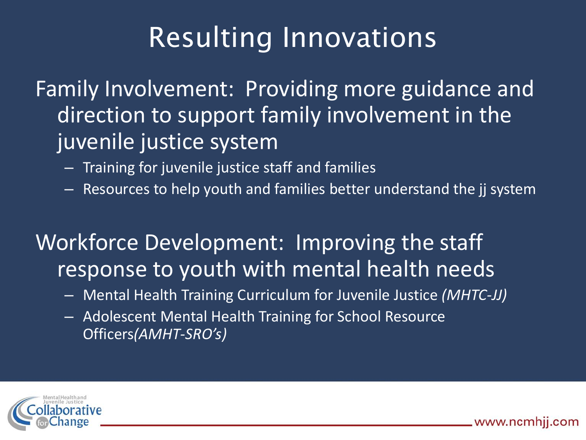# Resulting Innovations

Family Involvement: Providing more guidance and direction to support family involvement in the juvenile justice system

- Training for juvenile justice staff and families
- Resources to help youth and families better understand the jj system

### Workforce Development: Improving the staff response to youth with mental health needs

- Mental Health Training Curriculum for Juvenile Justice *(MHTC-JJ)*
- Adolescent Mental Health Training for School Resource Officers*(AMHT-SRO's)*

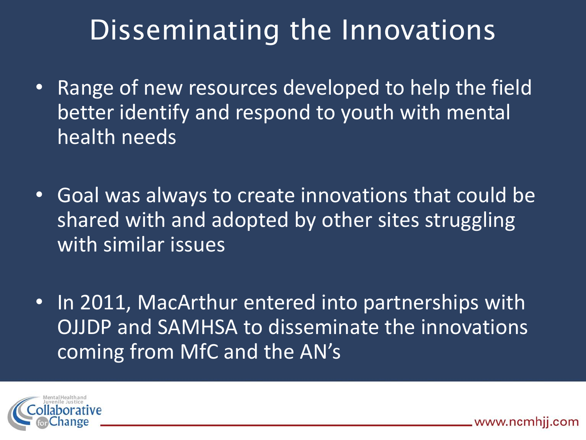### Disseminating the Innovations

- Range of new resources developed to help the field better identify and respond to youth with mental health needs
- Goal was always to create innovations that could be shared with and adopted by other sites struggling with similar issues
- In 2011, MacArthur entered into partnerships with OJJDP and SAMHSA to disseminate the innovations coming from MfC and the AN's

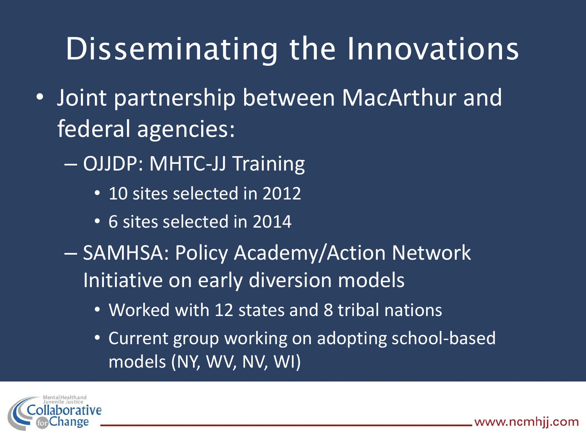# Disseminating the Innovations

- Joint partnership between MacArthur and federal agencies:
	- OJJDP: MHTC-JJ Training
		- 10 sites selected in 2012
		- 6 sites selected in 2014
	- SAMHSA: Policy Academy/Action Network Initiative on early diversion models
		- Worked with 12 states and 8 tribal nations
		- Current group working on adopting school-based models (NY, WV, NV, WI)

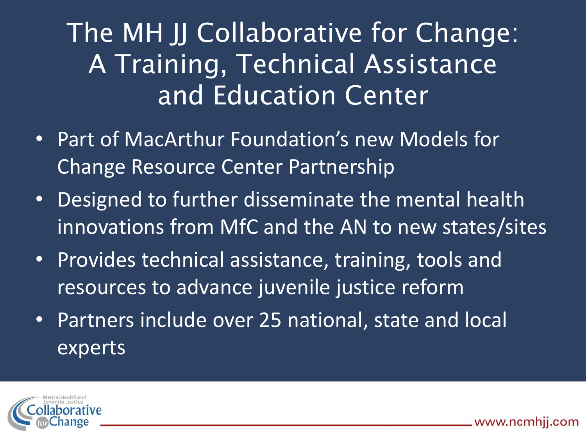### The MH JJ Collaborative for Change: A Training, Technical Assistance and Education Center

- Part of MacArthur Foundation's new Models for Change Resource Center Partnership
- Designed to further disseminate the mental health innovations from MfC and the AN to new states/sites
- Provides technical assistance, training, tools and resources to advance juvenile justice reform
- Partners include over 25 national, state and local experts

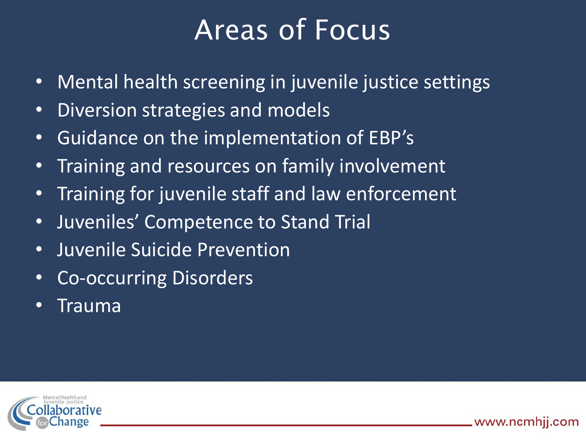### Areas of Focus

- Mental health screening in juvenile justice settings
- Diversion strategies and models
- Guidance on the implementation of EBP's
- Training and resources on family involvement
- Training for juvenile staff and law enforcement
- Juveniles' Competence to Stand Trial
- Juvenile Suicide Prevention
- Co-occurring Disorders
- Trauma

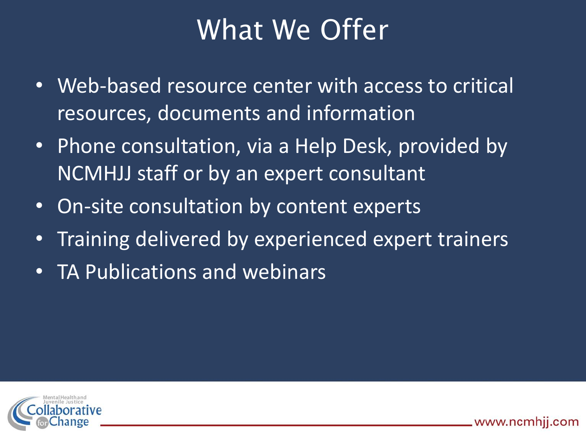### What We Offer

- Web-based resource center with access to critical resources, documents and information
- Phone consultation, via a Help Desk, provided by NCMHJJ staff or by an expert consultant
- On-site consultation by content experts
- Training delivered by experienced expert trainers
- TA Publications and webinars

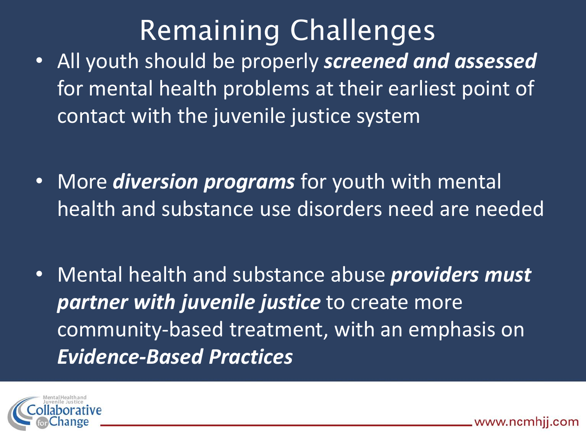# Remaining Challenges

- All youth should be properly *screened and assessed* for mental health problems at their earliest point of contact with the juvenile justice system
- More *diversion programs* for youth with mental health and substance use disorders need are needed
- Mental health and substance abuse *providers must partner with juvenile justice* to create more community-based treatment, with an emphasis on *Evidence-Based Practices*

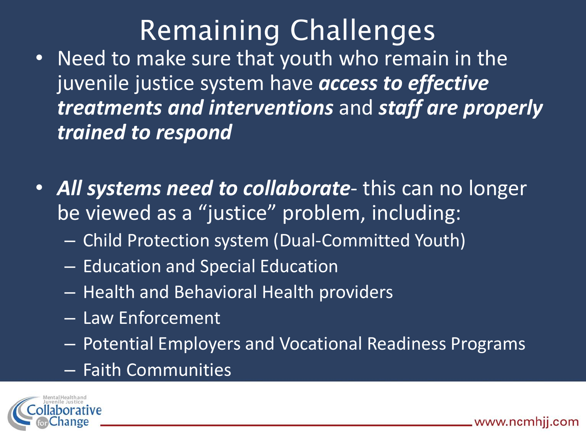# Remaining Challenges

- Need to make sure that youth who remain in the juvenile justice system have *access to effective treatments and interventions* and *staff are properly trained to respond*
- *All systems need to collaborate* this can no longer be viewed as a "justice" problem, including:
	- Child Protection system (Dual-Committed Youth)
	- Education and Special Education
	- Health and Behavioral Health providers
	- Law Enforcement
	- Potential Employers and Vocational Readiness Programs
	- Faith Communities